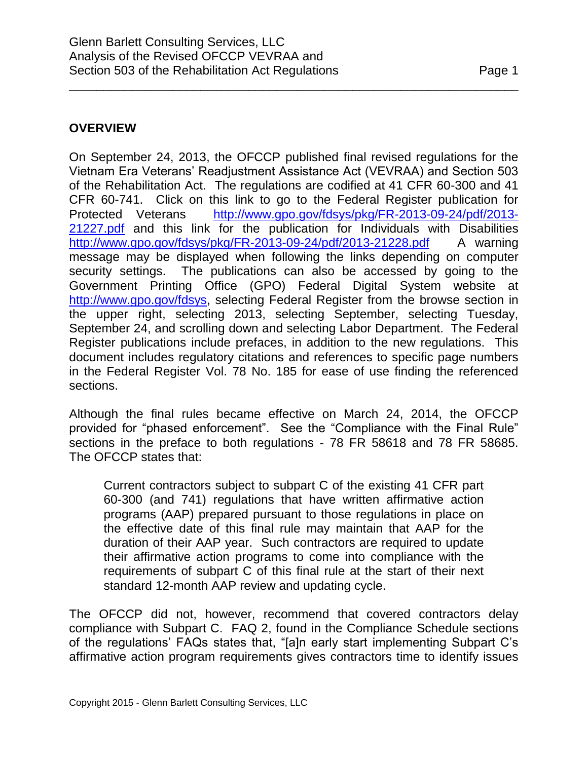# **OVERVIEW**

On September 24, 2013, the OFCCP published final revised regulations for the Vietnam Era Veterans' Readjustment Assistance Act (VEVRAA) and Section 503 of the Rehabilitation Act. The regulations are codified at 41 CFR 60-300 and 41 CFR 60-741. Click on this link to go to the Federal Register publication for Protected Veterans [http://www.gpo.gov/fdsys/pkg/FR-2013-09-24/pdf/2013-](http://www.gpo.gov/fdsys/pkg/FR-2013-09-24/pdf/2013-21227.pdf) [21227.pdf](http://www.gpo.gov/fdsys/pkg/FR-2013-09-24/pdf/2013-21227.pdf) and this link for the publication for Individuals with Disabilities <http://www.gpo.gov/fdsys/pkg/FR-2013-09-24/pdf/2013-21228.pdf> A warning message may be displayed when following the links depending on computer security settings. The publications can also be accessed by going to the Government Printing Office (GPO) Federal Digital System website at [http://www.gpo.gov/fdsys,](http://www.gpo.gov/fdsys) selecting Federal Register from the browse section in the upper right, selecting 2013, selecting September, selecting Tuesday, September 24, and scrolling down and selecting Labor Department. The Federal Register publications include prefaces, in addition to the new regulations. This document includes regulatory citations and references to specific page numbers in the Federal Register Vol. 78 No. 185 for ease of use finding the referenced sections.

\_\_\_\_\_\_\_\_\_\_\_\_\_\_\_\_\_\_\_\_\_\_\_\_\_\_\_\_\_\_\_\_\_\_\_\_\_\_\_\_\_\_\_\_\_\_\_\_\_\_\_\_\_\_\_\_\_\_\_\_\_\_\_\_\_

Although the final rules became effective on March 24, 2014, the OFCCP provided for "phased enforcement". See the "Compliance with the Final Rule" sections in the preface to both regulations - 78 FR 58618 and 78 FR 58685. The OFCCP states that:

Current contractors subject to subpart C of the existing 41 CFR part 60-300 (and 741) regulations that have written affirmative action programs (AAP) prepared pursuant to those regulations in place on the effective date of this final rule may maintain that AAP for the duration of their AAP year. Such contractors are required to update their affirmative action programs to come into compliance with the requirements of subpart C of this final rule at the start of their next standard 12-month AAP review and updating cycle.

The OFCCP did not, however, recommend that covered contractors delay compliance with Subpart C. FAQ 2, found in the Compliance Schedule sections of the regulations' FAQs states that, "[a]n early start implementing Subpart C's affirmative action program requirements gives contractors time to identify issues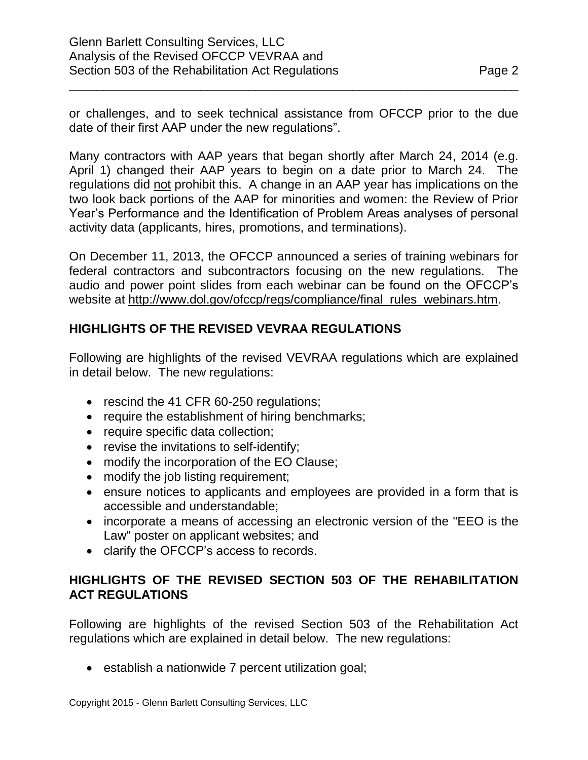or challenges, and to seek technical assistance from OFCCP prior to the due date of their first AAP under the new regulations".

\_\_\_\_\_\_\_\_\_\_\_\_\_\_\_\_\_\_\_\_\_\_\_\_\_\_\_\_\_\_\_\_\_\_\_\_\_\_\_\_\_\_\_\_\_\_\_\_\_\_\_\_\_\_\_\_\_\_\_\_\_\_\_\_\_

Many contractors with AAP years that began shortly after March 24, 2014 (e.g. April 1) changed their AAP years to begin on a date prior to March 24. The regulations did not prohibit this. A change in an AAP year has implications on the two look back portions of the AAP for minorities and women: the Review of Prior Year's Performance and the Identification of Problem Areas analyses of personal activity data (applicants, hires, promotions, and terminations).

On December 11, 2013, the OFCCP announced a series of training webinars for federal contractors and subcontractors focusing on the new regulations. The audio and power point slides from each webinar can be found on the OFCCP's website at [http://www.dol.gov/ofccp/regs/compliance/final\\_rules\\_webinars.htm.](http://www.dol.gov/ofccp/regs/compliance/final_rules_webinars.htm)

# **HIGHLIGHTS OF THE REVISED VEVRAA REGULATIONS**

Following are highlights of the revised VEVRAA regulations which are explained in detail below. The new regulations:

- rescind the 41 CFR 60-250 regulations;
- require the establishment of hiring benchmarks;
- require specific data collection;
- revise the invitations to self-identify;
- modify the incorporation of the EO Clause;
- modify the job listing requirement;
- ensure notices to applicants and employees are provided in a form that is accessible and understandable;
- incorporate a means of accessing an electronic version of the "EEO is the Law" poster on applicant websites; and
- clarify the OFCCP's access to records.

# **HIGHLIGHTS OF THE REVISED SECTION 503 OF THE REHABILITATION ACT REGULATIONS**

Following are highlights of the revised Section 503 of the Rehabilitation Act regulations which are explained in detail below. The new regulations:

• establish a nationwide 7 percent utilization goal;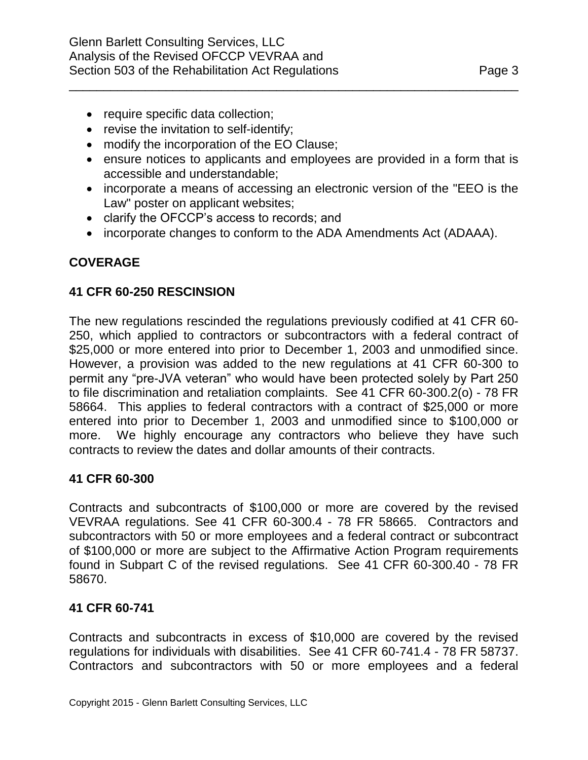- require specific data collection;
- revise the invitation to self-identify;
- modify the incorporation of the EO Clause;
- ensure notices to applicants and employees are provided in a form that is accessible and understandable;

\_\_\_\_\_\_\_\_\_\_\_\_\_\_\_\_\_\_\_\_\_\_\_\_\_\_\_\_\_\_\_\_\_\_\_\_\_\_\_\_\_\_\_\_\_\_\_\_\_\_\_\_\_\_\_\_\_\_\_\_\_\_\_\_\_

- incorporate a means of accessing an electronic version of the "EEO is the Law" poster on applicant websites;
- clarify the OFCCP's access to records; and
- incorporate changes to conform to the ADA Amendments Act (ADAAA).

# **COVERAGE**

### **41 CFR 60-250 RESCINSION**

The new regulations rescinded the regulations previously codified at 41 CFR 60- 250, which applied to contractors or subcontractors with a federal contract of \$25,000 or more entered into prior to December 1, 2003 and unmodified since. However, a provision was added to the new regulations at 41 CFR 60-300 to permit any "pre-JVA veteran" who would have been protected solely by Part 250 to file discrimination and retaliation complaints. See 41 CFR 60-300.2(o) - 78 FR 58664. This applies to federal contractors with a contract of \$25,000 or more entered into prior to December 1, 2003 and unmodified since to \$100,000 or more. We highly encourage any contractors who believe they have such contracts to review the dates and dollar amounts of their contracts.

#### **41 CFR 60-300**

Contracts and subcontracts of \$100,000 or more are covered by the revised VEVRAA regulations. See 41 CFR 60-300.4 - 78 FR 58665. Contractors and subcontractors with 50 or more employees and a federal contract or subcontract of \$100,000 or more are subject to the Affirmative Action Program requirements found in Subpart C of the revised regulations. See 41 CFR 60-300.40 - 78 FR 58670.

#### **41 CFR 60-741**

Contracts and subcontracts in excess of \$10,000 are covered by the revised regulations for individuals with disabilities. See 41 CFR 60-741.4 - 78 FR 58737. Contractors and subcontractors with 50 or more employees and a federal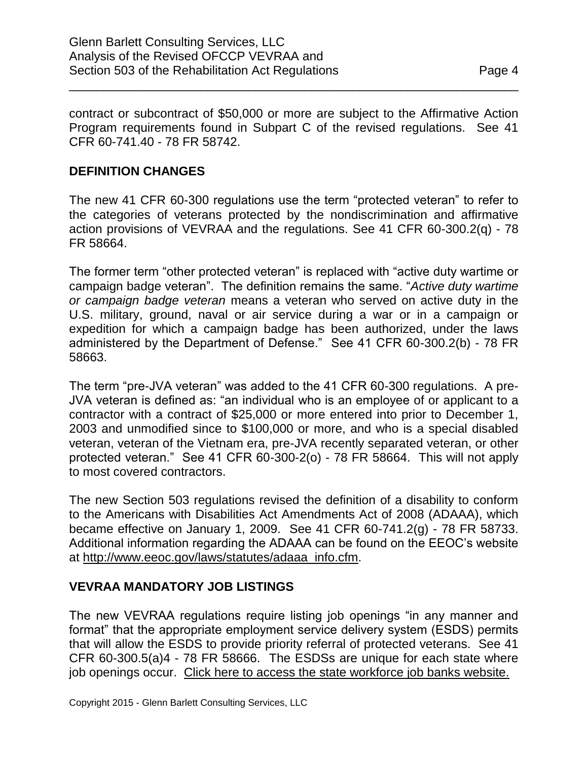contract or subcontract of \$50,000 or more are subject to the Affirmative Action Program requirements found in Subpart C of the revised regulations. See 41 CFR 60-741.40 - 78 FR 58742.

\_\_\_\_\_\_\_\_\_\_\_\_\_\_\_\_\_\_\_\_\_\_\_\_\_\_\_\_\_\_\_\_\_\_\_\_\_\_\_\_\_\_\_\_\_\_\_\_\_\_\_\_\_\_\_\_\_\_\_\_\_\_\_\_\_

## **DEFINITION CHANGES**

The new 41 CFR 60-300 regulations use the term "protected veteran" to refer to the categories of veterans protected by the nondiscrimination and affirmative action provisions of VEVRAA and the regulations. See 41 CFR 60-300.2(q) - 78 FR 58664.

The former term "other protected veteran" is replaced with "active duty wartime or campaign badge veteran". The definition remains the same. "*Active duty wartime or campaign badge veteran* means a veteran who served on active duty in the U.S. military, ground, naval or air service during a war or in a campaign or expedition for which a campaign badge has been authorized, under the laws administered by the Department of Defense." See 41 CFR 60-300.2(b) - 78 FR 58663.

The term "pre-JVA veteran" was added to the 41 CFR 60-300 regulations. A pre-JVA veteran is defined as: "an individual who is an employee of or applicant to a contractor with a contract of \$25,000 or more entered into prior to December 1, 2003 and unmodified since to \$100,000 or more, and who is a special disabled veteran, veteran of the Vietnam era, pre-JVA recently separated veteran, or other protected veteran." See 41 CFR 60-300-2(o) - 78 FR 58664. This will not apply to most covered contractors.

The new Section 503 regulations revised the definition of a disability to conform to the Americans with Disabilities Act Amendments Act of 2008 (ADAAA), which became effective on January 1, 2009. See 41 CFR 60-741.2(g) - 78 FR 58733. Additional information regarding the ADAAA can be found on the EEOC's website at [http://www.eeoc.gov/laws/statutes/adaaa\\_info.cfm.](http://www.eeoc.gov/laws/statutes/adaaa_info.cfm)

#### **VEVRAA MANDATORY JOB LISTINGS**

The new VEVRAA regulations require listing job openings "in any manner and format" that the appropriate employment service delivery system (ESDS) permits that will allow the ESDS to provide priority referral of protected veterans. See 41 CFR 60-300.5(a)4 - 78 FR 58666. The ESDSs are unique for each state where job openings occur. [Click here to access the state workforce job banks website.](http://www.jobbankinfo.org/)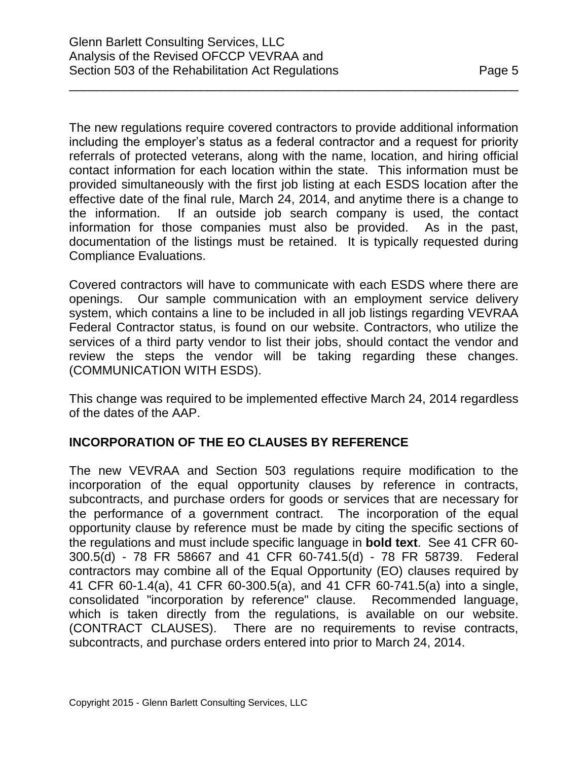The new regulations require covered contractors to provide additional information including the employer's status as a federal contractor and a request for priority referrals of protected veterans, along with the name, location, and hiring official contact information for each location within the state. This information must be

provided simultaneously with the first job listing at each ESDS location after the effective date of the final rule, March 24, 2014, and anytime there is a change to the information. If an outside job search company is used, the contact information for those companies must also be provided. As in the past, documentation of the listings must be retained. It is typically requested during Compliance Evaluations.

\_\_\_\_\_\_\_\_\_\_\_\_\_\_\_\_\_\_\_\_\_\_\_\_\_\_\_\_\_\_\_\_\_\_\_\_\_\_\_\_\_\_\_\_\_\_\_\_\_\_\_\_\_\_\_\_\_\_\_\_\_\_\_\_\_

Covered contractors will have to communicate with each ESDS where there are openings. Our sample communication with an employment service delivery system, which contains a line to be included in all job listings regarding VEVRAA Federal Contractor status, is found on our website. Contractors, who utilize the services of a third party vendor to list their jobs, should contact the vendor and review the steps the vendor will be taking regarding these changes. (COMMUNICATION WITH ESDS).

This change was required to be implemented effective March 24, 2014 regardless of the dates of the AAP.

# **INCORPORATION OF THE EO CLAUSES BY REFERENCE**

The new VEVRAA and Section 503 regulations require modification to the incorporation of the equal opportunity clauses by reference in contracts, subcontracts, and purchase orders for goods or services that are necessary for the performance of a government contract. The incorporation of the equal opportunity clause by reference must be made by citing the specific sections of the regulations and must include specific language in **bold text**. See 41 CFR 60- 300.5(d) - 78 FR 58667 and 41 CFR 60-741.5(d) - 78 FR 58739. Federal contractors may combine all of the Equal Opportunity (EO) clauses required by 41 CFR 60-1.4(a), 41 CFR 60-300.5(a), and 41 CFR 60-741.5(a) into a single, consolidated "incorporation by reference" clause. Recommended language, which is taken directly from the regulations, is available on our website. (CONTRACT CLAUSES). There are no requirements to revise contracts, subcontracts, and purchase orders entered into prior to March 24, 2014.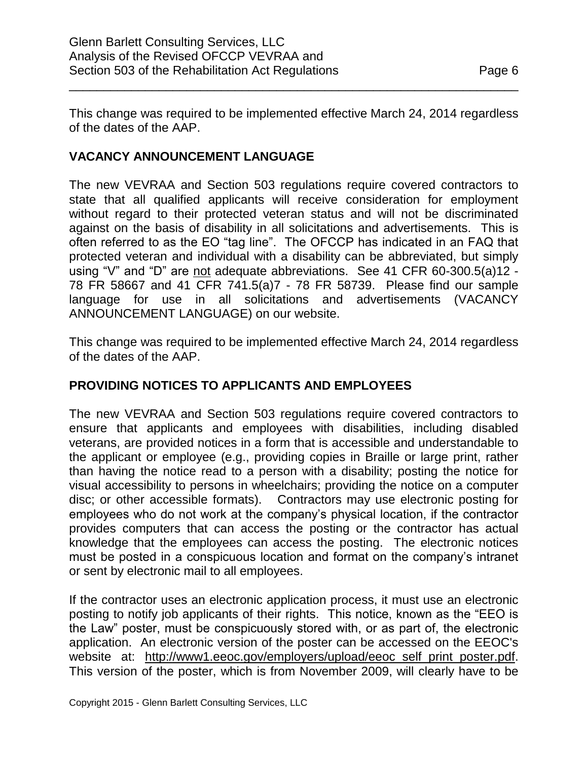This change was required to be implemented effective March 24, 2014 regardless of the dates of the AAP.

\_\_\_\_\_\_\_\_\_\_\_\_\_\_\_\_\_\_\_\_\_\_\_\_\_\_\_\_\_\_\_\_\_\_\_\_\_\_\_\_\_\_\_\_\_\_\_\_\_\_\_\_\_\_\_\_\_\_\_\_\_\_\_\_\_

# **VACANCY ANNOUNCEMENT LANGUAGE**

The new VEVRAA and Section 503 regulations require covered contractors to state that all qualified applicants will receive consideration for employment without regard to their protected veteran status and will not be discriminated against on the basis of disability in all solicitations and advertisements. This is often referred to as the EO "tag line". The OFCCP has indicated in an FAQ that protected veteran and individual with a disability can be abbreviated, but simply using "V" and "D" are not adequate abbreviations. See 41 CFR 60-300.5(a)12 - 78 FR 58667 and 41 CFR 741.5(a)7 - 78 FR 58739. Please find our sample language for use in all solicitations and advertisements (VACANCY ANNOUNCEMENT LANGUAGE) on our website.

This change was required to be implemented effective March 24, 2014 regardless of the dates of the AAP.

# **PROVIDING NOTICES TO APPLICANTS AND EMPLOYEES**

The new VEVRAA and Section 503 regulations require covered contractors to ensure that applicants and employees with disabilities, including disabled veterans, are provided notices in a form that is accessible and understandable to the applicant or employee (e.g., providing copies in Braille or large print, rather than having the notice read to a person with a disability; posting the notice for visual accessibility to persons in wheelchairs; providing the notice on a computer disc; or other accessible formats). Contractors may use electronic posting for employees who do not work at the company's physical location, if the contractor provides computers that can access the posting or the contractor has actual knowledge that the employees can access the posting. The electronic notices must be posted in a conspicuous location and format on the company's intranet or sent by electronic mail to all employees.

If the contractor uses an electronic application process, it must use an electronic posting to notify job applicants of their rights. This notice, known as the "EEO is the Law" poster, must be conspicuously stored with, or as part of, the electronic application. An electronic version of the poster can be accessed on the EEOC's website at: [http://www1.eeoc.gov/employers/upload/eeoc\\_self\\_print\\_poster.pdf.](http://www1.eeoc.gov/employers/upload/eeoc_self_print_poster.pdf) This version of the poster, which is from November 2009, will clearly have to be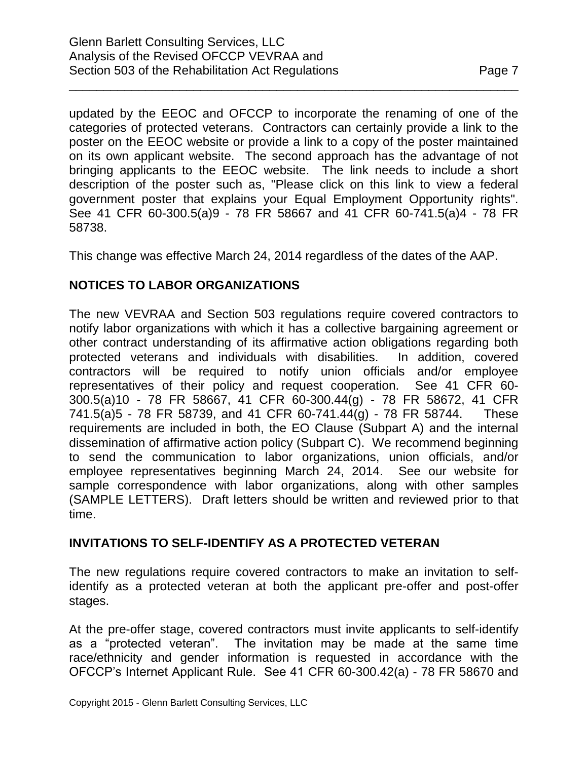updated by the EEOC and OFCCP to incorporate the renaming of one of the categories of protected veterans. Contractors can certainly provide a link to the poster on the EEOC website or provide a link to a copy of the poster maintained on its own applicant website. The second approach has the advantage of not bringing applicants to the EEOC website. The link needs to include a short description of the poster such as, "Please click on this link to view a federal government poster that explains your Equal Employment Opportunity rights". See 41 CFR 60-300.5(a)9 - 78 FR 58667 and 41 CFR 60-741.5(a)4 - 78 FR 58738.

\_\_\_\_\_\_\_\_\_\_\_\_\_\_\_\_\_\_\_\_\_\_\_\_\_\_\_\_\_\_\_\_\_\_\_\_\_\_\_\_\_\_\_\_\_\_\_\_\_\_\_\_\_\_\_\_\_\_\_\_\_\_\_\_\_

This change was effective March 24, 2014 regardless of the dates of the AAP.

# **NOTICES TO LABOR ORGANIZATIONS**

The new VEVRAA and Section 503 regulations require covered contractors to notify labor organizations with which it has a collective bargaining agreement or other contract understanding of its affirmative action obligations regarding both protected veterans and individuals with disabilities. In addition, covered contractors will be required to notify union officials and/or employee representatives of their policy and request cooperation. See 41 CFR 60- 300.5(a)10 - 78 FR 58667, 41 CFR 60-300.44(g) - 78 FR 58672, 41 CFR 741.5(a)5 - 78 FR 58739, and 41 CFR 60-741.44(g) - 78 FR 58744. These requirements are included in both, the EO Clause (Subpart A) and the internal dissemination of affirmative action policy (Subpart C). We recommend beginning to send the communication to labor organizations, union officials, and/or employee representatives beginning March 24, 2014. See our website for sample correspondence with labor organizations, along with other samples (SAMPLE LETTERS). Draft letters should be written and reviewed prior to that time.

# **INVITATIONS TO SELF-IDENTIFY AS A PROTECTED VETERAN**

The new regulations require covered contractors to make an invitation to selfidentify as a protected veteran at both the applicant pre-offer and post-offer stages.

At the pre-offer stage, covered contractors must invite applicants to self-identify as a "protected veteran". The invitation may be made at the same time race/ethnicity and gender information is requested in accordance with the OFCCP's Internet Applicant Rule. See 41 CFR 60-300.42(a) - 78 FR 58670 and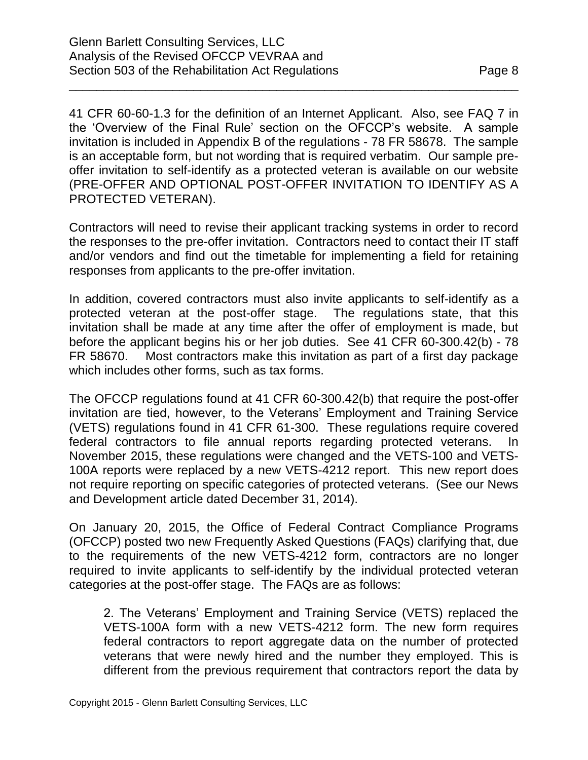PROTECTED VETERAN).

41 CFR 60-60-1.3 for the definition of an Internet Applicant. Also, see FAQ 7 in the 'Overview of the Final Rule' section on the OFCCP's website. A sample invitation is included in Appendix B of the regulations - 78 FR 58678. The sample is an acceptable form, but not wording that is required verbatim. Our sample preoffer invitation to self-identify as a protected veteran is available on our website (PRE-OFFER AND OPTIONAL POST-OFFER INVITATION TO IDENTIFY AS A

\_\_\_\_\_\_\_\_\_\_\_\_\_\_\_\_\_\_\_\_\_\_\_\_\_\_\_\_\_\_\_\_\_\_\_\_\_\_\_\_\_\_\_\_\_\_\_\_\_\_\_\_\_\_\_\_\_\_\_\_\_\_\_\_\_

Contractors will need to revise their applicant tracking systems in order to record the responses to the pre-offer invitation. Contractors need to contact their IT staff and/or vendors and find out the timetable for implementing a field for retaining responses from applicants to the pre-offer invitation.

In addition, covered contractors must also invite applicants to self-identify as a protected veteran at the post-offer stage. The regulations state, that this invitation shall be made at any time after the offer of employment is made, but before the applicant begins his or her job duties. See 41 CFR 60-300.42(b) - 78 FR 58670. Most contractors make this invitation as part of a first day package which includes other forms, such as tax forms.

The OFCCP regulations found at 41 CFR 60-300.42(b) that require the post-offer invitation are tied, however, to the Veterans' Employment and Training Service (VETS) regulations found in 41 CFR 61-300. These regulations require covered federal contractors to file annual reports regarding protected veterans. In November 2015, these regulations were changed and the VETS-100 and VETS-100A reports were replaced by a new VETS-4212 report. This new report does not require reporting on specific categories of protected veterans. (See our News and Development article dated December 31, 2014).

On January 20, 2015, the Office of Federal Contract Compliance Programs (OFCCP) posted two new Frequently Asked Questions (FAQs) clarifying that, due to the requirements of the new VETS-4212 form, contractors are no longer required to invite applicants to self-identify by the individual protected veteran categories at the post-offer stage. The FAQs are as follows:

2. The Veterans' Employment and Training Service (VETS) replaced the VETS-100A form with a new VETS-4212 form. The new form requires federal contractors to report aggregate data on the number of protected veterans that were newly hired and the number they employed. This is different from the previous requirement that contractors report the data by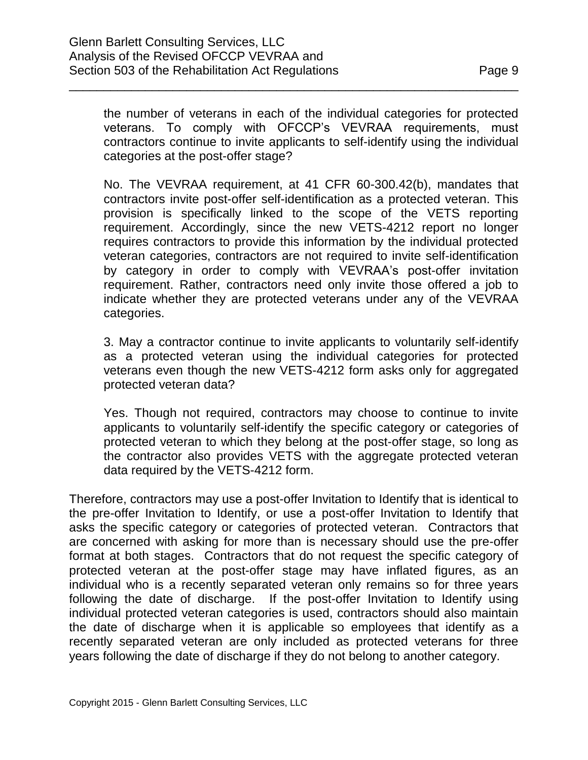the number of veterans in each of the individual categories for protected veterans. To comply with OFCCP's VEVRAA requirements, must contractors continue to invite applicants to self-identify using the individual categories at the post-offer stage?

\_\_\_\_\_\_\_\_\_\_\_\_\_\_\_\_\_\_\_\_\_\_\_\_\_\_\_\_\_\_\_\_\_\_\_\_\_\_\_\_\_\_\_\_\_\_\_\_\_\_\_\_\_\_\_\_\_\_\_\_\_\_\_\_\_

No. The VEVRAA requirement, at 41 CFR 60-300.42(b), mandates that contractors invite post-offer self-identification as a protected veteran. This provision is specifically linked to the scope of the VETS reporting requirement. Accordingly, since the new VETS-4212 report no longer requires contractors to provide this information by the individual protected veteran categories, contractors are not required to invite self-identification by category in order to comply with VEVRAA's post-offer invitation requirement. Rather, contractors need only invite those offered a job to indicate whether they are protected veterans under any of the VEVRAA categories.

3. May a contractor continue to invite applicants to voluntarily self-identify as a protected veteran using the individual categories for protected veterans even though the new VETS-4212 form asks only for aggregated protected veteran data?

Yes. Though not required, contractors may choose to continue to invite applicants to voluntarily self-identify the specific category or categories of protected veteran to which they belong at the post-offer stage, so long as the contractor also provides VETS with the aggregate protected veteran data required by the VETS-4212 form.

Therefore, contractors may use a post-offer Invitation to Identify that is identical to the pre-offer Invitation to Identify, or use a post-offer Invitation to Identify that asks the specific category or categories of protected veteran. Contractors that are concerned with asking for more than is necessary should use the pre-offer format at both stages. Contractors that do not request the specific category of protected veteran at the post-offer stage may have inflated figures, as an individual who is a recently separated veteran only remains so for three years following the date of discharge. If the post-offer Invitation to Identify using individual protected veteran categories is used, contractors should also maintain the date of discharge when it is applicable so employees that identify as a recently separated veteran are only included as protected veterans for three years following the date of discharge if they do not belong to another category.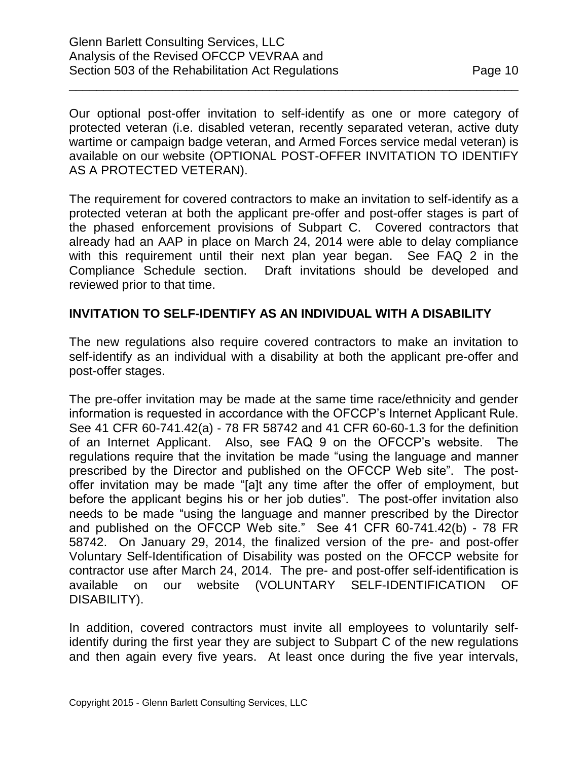Our optional post-offer invitation to self-identify as one or more category of protected veteran (i.e. disabled veteran, recently separated veteran, active duty wartime or campaign badge veteran, and Armed Forces service medal veteran) is available on our website (OPTIONAL POST-OFFER INVITATION TO IDENTIFY AS A PROTECTED VETERAN).

\_\_\_\_\_\_\_\_\_\_\_\_\_\_\_\_\_\_\_\_\_\_\_\_\_\_\_\_\_\_\_\_\_\_\_\_\_\_\_\_\_\_\_\_\_\_\_\_\_\_\_\_\_\_\_\_\_\_\_\_\_\_\_\_\_

The requirement for covered contractors to make an invitation to self-identify as a protected veteran at both the applicant pre-offer and post-offer stages is part of the phased enforcement provisions of Subpart C. Covered contractors that already had an AAP in place on March 24, 2014 were able to delay compliance with this requirement until their next plan year began. See FAQ 2 in the Compliance Schedule section. Draft invitations should be developed and reviewed prior to that time.

### **INVITATION TO SELF-IDENTIFY AS AN INDIVIDUAL WITH A DISABILITY**

The new regulations also require covered contractors to make an invitation to self-identify as an individual with a disability at both the applicant pre-offer and post-offer stages.

The pre-offer invitation may be made at the same time race/ethnicity and gender information is requested in accordance with the OFCCP's Internet Applicant Rule. See 41 CFR 60-741.42(a) - 78 FR 58742 and 41 CFR 60-60-1.3 for the definition of an Internet Applicant. Also, see FAQ 9 on the OFCCP's website. The regulations require that the invitation be made "using the language and manner prescribed by the Director and published on the OFCCP Web site". The postoffer invitation may be made "[a]t any time after the offer of employment, but before the applicant begins his or her job duties". The post-offer invitation also needs to be made "using the language and manner prescribed by the Director and published on the OFCCP Web site." See 41 CFR 60-741.42(b) - 78 FR 58742. On January 29, 2014, the finalized version of the pre- and post-offer Voluntary Self-Identification of Disability was posted on the OFCCP website for contractor use after March 24, 2014. The pre- and post-offer self-identification is available on our website (VOLUNTARY SELF-IDENTIFICATION OF DISABILITY).

In addition, covered contractors must invite all employees to voluntarily selfidentify during the first year they are subject to Subpart C of the new regulations and then again every five years. At least once during the five year intervals,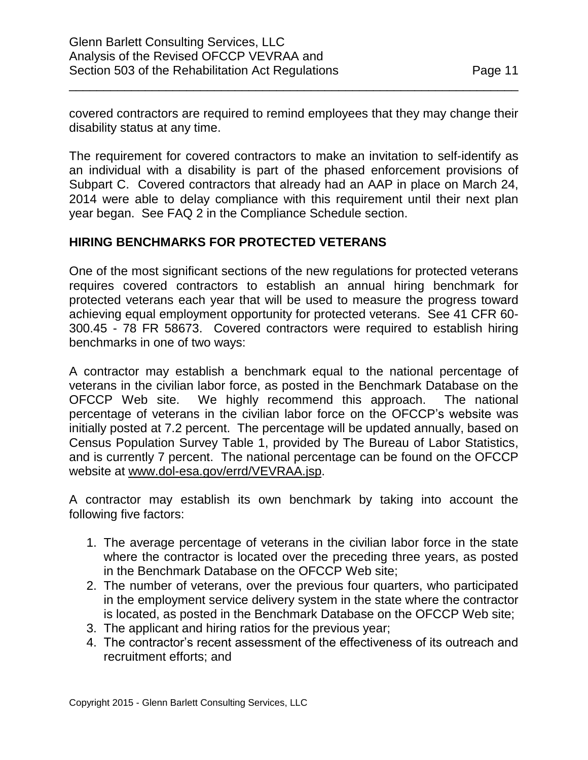covered contractors are required to remind employees that they may change their disability status at any time.

\_\_\_\_\_\_\_\_\_\_\_\_\_\_\_\_\_\_\_\_\_\_\_\_\_\_\_\_\_\_\_\_\_\_\_\_\_\_\_\_\_\_\_\_\_\_\_\_\_\_\_\_\_\_\_\_\_\_\_\_\_\_\_\_\_

The requirement for covered contractors to make an invitation to self-identify as an individual with a disability is part of the phased enforcement provisions of Subpart C. Covered contractors that already had an AAP in place on March 24, 2014 were able to delay compliance with this requirement until their next plan year began. See FAQ 2 in the Compliance Schedule section.

# **HIRING BENCHMARKS FOR PROTECTED VETERANS**

One of the most significant sections of the new regulations for protected veterans requires covered contractors to establish an annual hiring benchmark for protected veterans each year that will be used to measure the progress toward achieving equal employment opportunity for protected veterans. See 41 CFR 60- 300.45 - 78 FR 58673. Covered contractors were required to establish hiring benchmarks in one of two ways:

A contractor may establish a benchmark equal to the national percentage of veterans in the civilian labor force, as posted in the Benchmark Database on the OFCCP Web site. We highly recommend this approach. The national percentage of veterans in the civilian labor force on the OFCCP's website was initially posted at 7.2 percent. The percentage will be updated annually, based on Census Population Survey Table 1, provided by The Bureau of Labor Statistics, and is currently 7 percent. The national percentage can be found on the OFCCP website at [www.dol-esa.gov/errd/VEVRAA.jsp.](http://www.dol-esa.gov/errd/VEVRAA.jsp)

A contractor may establish its own benchmark by taking into account the following five factors:

- 1. The average percentage of veterans in the civilian labor force in the state where the contractor is located over the preceding three years, as posted in the Benchmark Database on the OFCCP Web site;
- 2. The number of veterans, over the previous four quarters, who participated in the employment service delivery system in the state where the contractor is located, as posted in the Benchmark Database on the OFCCP Web site;
- 3. The applicant and hiring ratios for the previous year;
- 4. The contractor's recent assessment of the effectiveness of its outreach and recruitment efforts; and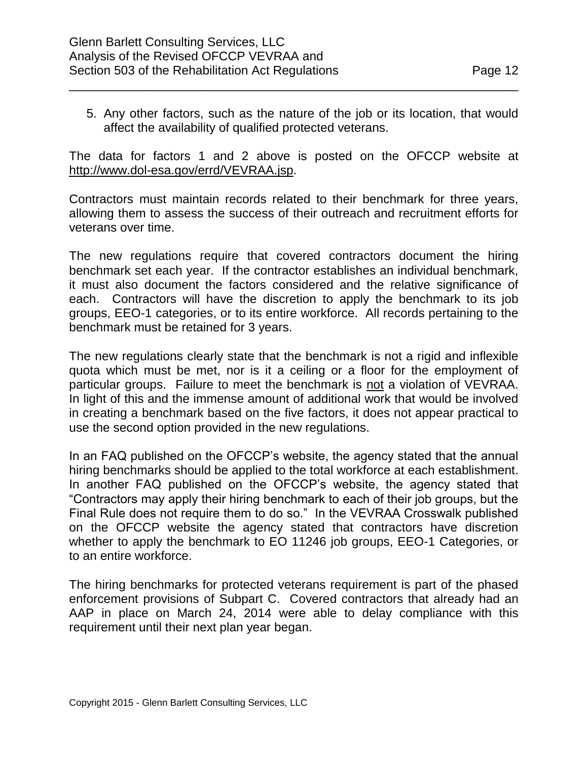5. Any other factors, such as the nature of the job or its location, that would affect the availability of qualified protected veterans.

\_\_\_\_\_\_\_\_\_\_\_\_\_\_\_\_\_\_\_\_\_\_\_\_\_\_\_\_\_\_\_\_\_\_\_\_\_\_\_\_\_\_\_\_\_\_\_\_\_\_\_\_\_\_\_\_\_\_\_\_\_\_\_\_\_

The data for factors 1 and 2 above is posted on the OFCCP website at [http://www.dol-esa.gov/errd/VEVRAA.jsp.](http://www.dol-esa.gov/errd/VEVRAA.jsp)

Contractors must maintain records related to their benchmark for three years, allowing them to assess the success of their outreach and recruitment efforts for veterans over time.

The new regulations require that covered contractors document the hiring benchmark set each year. If the contractor establishes an individual benchmark, it must also document the factors considered and the relative significance of each. Contractors will have the discretion to apply the benchmark to its job groups, EEO-1 categories, or to its entire workforce. All records pertaining to the benchmark must be retained for 3 years.

The new regulations clearly state that the benchmark is not a rigid and inflexible quota which must be met, nor is it a ceiling or a floor for the employment of particular groups. Failure to meet the benchmark is not a violation of VEVRAA. In light of this and the immense amount of additional work that would be involved in creating a benchmark based on the five factors, it does not appear practical to use the second option provided in the new regulations.

In an FAQ published on the OFCCP's website, the agency stated that the annual hiring benchmarks should be applied to the total workforce at each establishment. In another FAQ published on the OFCCP's website, the agency stated that "Contractors may apply their hiring benchmark to each of their job groups, but the Final Rule does not require them to do so." In the VEVRAA Crosswalk published on the OFCCP website the agency stated that contractors have discretion whether to apply the benchmark to EO 11246 job groups, EEO-1 Categories, or to an entire workforce.

The hiring benchmarks for protected veterans requirement is part of the phased enforcement provisions of Subpart C. Covered contractors that already had an AAP in place on March 24, 2014 were able to delay compliance with this requirement until their next plan year began.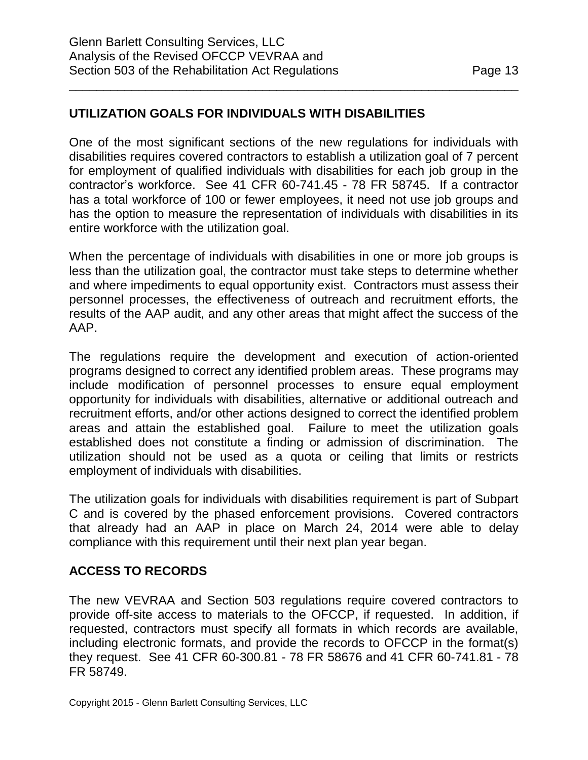## **UTILIZATION GOALS FOR INDIVIDUALS WITH DISABILITIES**

One of the most significant sections of the new regulations for individuals with disabilities requires covered contractors to establish a utilization goal of 7 percent for employment of qualified individuals with disabilities for each job group in the contractor's workforce. See 41 CFR 60-741.45 - 78 FR 58745. If a contractor has a total workforce of 100 or fewer employees, it need not use job groups and has the option to measure the representation of individuals with disabilities in its entire workforce with the utilization goal.

\_\_\_\_\_\_\_\_\_\_\_\_\_\_\_\_\_\_\_\_\_\_\_\_\_\_\_\_\_\_\_\_\_\_\_\_\_\_\_\_\_\_\_\_\_\_\_\_\_\_\_\_\_\_\_\_\_\_\_\_\_\_\_\_\_

When the percentage of individuals with disabilities in one or more job groups is less than the utilization goal, the contractor must take steps to determine whether and where impediments to equal opportunity exist. Contractors must assess their personnel processes, the effectiveness of outreach and recruitment efforts, the results of the AAP audit, and any other areas that might affect the success of the AAP.

The regulations require the development and execution of action-oriented programs designed to correct any identified problem areas. These programs may include modification of personnel processes to ensure equal employment opportunity for individuals with disabilities, alternative or additional outreach and recruitment efforts, and/or other actions designed to correct the identified problem areas and attain the established goal. Failure to meet the utilization goals established does not constitute a finding or admission of discrimination. The utilization should not be used as a quota or ceiling that limits or restricts employment of individuals with disabilities.

The utilization goals for individuals with disabilities requirement is part of Subpart C and is covered by the phased enforcement provisions. Covered contractors that already had an AAP in place on March 24, 2014 were able to delay compliance with this requirement until their next plan year began.

#### **ACCESS TO RECORDS**

The new VEVRAA and Section 503 regulations require covered contractors to provide off-site access to materials to the OFCCP, if requested. In addition, if requested, contractors must specify all formats in which records are available, including electronic formats, and provide the records to OFCCP in the format(s) they request. See 41 CFR 60-300.81 - 78 FR 58676 and 41 CFR 60-741.81 - 78 FR 58749.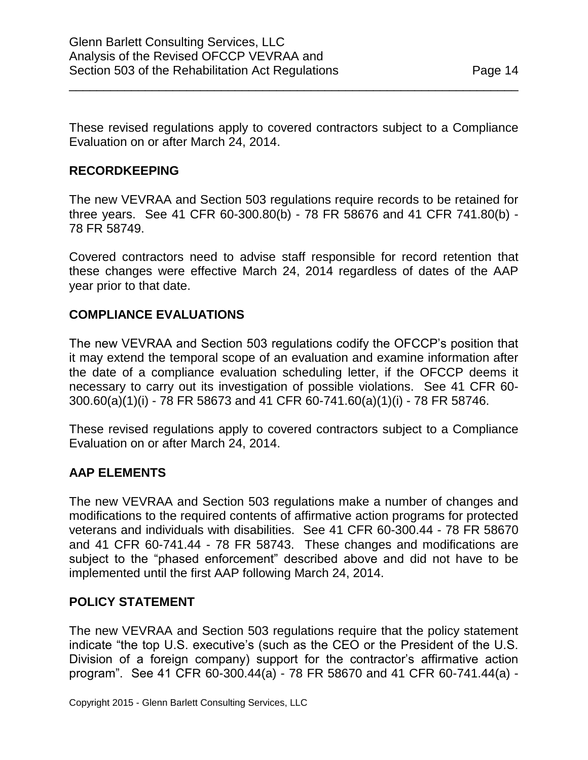These revised regulations apply to covered contractors subject to a Compliance Evaluation on or after March 24, 2014.

\_\_\_\_\_\_\_\_\_\_\_\_\_\_\_\_\_\_\_\_\_\_\_\_\_\_\_\_\_\_\_\_\_\_\_\_\_\_\_\_\_\_\_\_\_\_\_\_\_\_\_\_\_\_\_\_\_\_\_\_\_\_\_\_\_

## **RECORDKEEPING**

The new VEVRAA and Section 503 regulations require records to be retained for three years. See 41 CFR 60-300.80(b) - 78 FR 58676 and 41 CFR 741.80(b) - 78 FR 58749.

Covered contractors need to advise staff responsible for record retention that these changes were effective March 24, 2014 regardless of dates of the AAP year prior to that date.

### **COMPLIANCE EVALUATIONS**

The new VEVRAA and Section 503 regulations codify the OFCCP's position that it may extend the temporal scope of an evaluation and examine information after the date of a compliance evaluation scheduling letter, if the OFCCP deems it necessary to carry out its investigation of possible violations. See 41 CFR 60- 300.60(a)(1)(i) - 78 FR 58673 and 41 CFR 60-741.60(a)(1)(i) - 78 FR 58746.

These revised regulations apply to covered contractors subject to a Compliance Evaluation on or after March 24, 2014.

# **AAP ELEMENTS**

The new VEVRAA and Section 503 regulations make a number of changes and modifications to the required contents of affirmative action programs for protected veterans and individuals with disabilities. See 41 CFR 60-300.44 - 78 FR 58670 and 41 CFR 60-741.44 - 78 FR 58743. These changes and modifications are subject to the "phased enforcement" described above and did not have to be implemented until the first AAP following March 24, 2014.

#### **POLICY STATEMENT**

The new VEVRAA and Section 503 regulations require that the policy statement indicate "the top U.S. executive's (such as the CEO or the President of the U.S. Division of a foreign company) support for the contractor's affirmative action program". See 41 CFR 60-300.44(a) - 78 FR 58670 and 41 CFR 60-741.44(a) -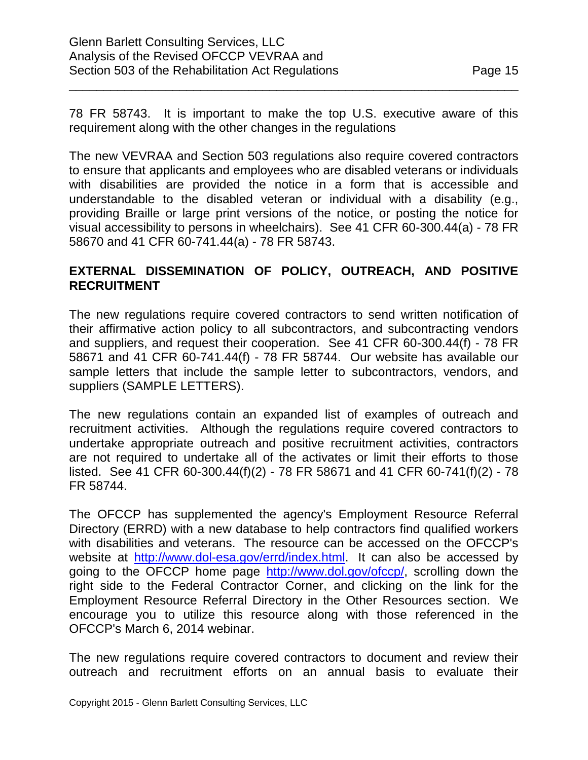\_\_\_\_\_\_\_\_\_\_\_\_\_\_\_\_\_\_\_\_\_\_\_\_\_\_\_\_\_\_\_\_\_\_\_\_\_\_\_\_\_\_\_\_\_\_\_\_\_\_\_\_\_\_\_\_\_\_\_\_\_\_\_\_\_

The new VEVRAA and Section 503 regulations also require covered contractors to ensure that applicants and employees who are disabled veterans or individuals with disabilities are provided the notice in a form that is accessible and understandable to the disabled veteran or individual with a disability (e.g., providing Braille or large print versions of the notice, or posting the notice for visual accessibility to persons in wheelchairs). See 41 CFR 60-300.44(a) - 78 FR 58670 and 41 CFR 60-741.44(a) - 78 FR 58743.

## **EXTERNAL DISSEMINATION OF POLICY, OUTREACH, AND POSITIVE RECRUITMENT**

The new regulations require covered contractors to send written notification of their affirmative action policy to all subcontractors, and subcontracting vendors and suppliers, and request their cooperation. See 41 CFR 60-300.44(f) - 78 FR 58671 and 41 CFR 60-741.44(f) - 78 FR 58744. Our website has available our sample letters that include the sample letter to subcontractors, vendors, and suppliers (SAMPLE LETTERS).

The new regulations contain an expanded list of examples of outreach and recruitment activities. Although the regulations require covered contractors to undertake appropriate outreach and positive recruitment activities, contractors are not required to undertake all of the activates or limit their efforts to those listed. See 41 CFR 60-300.44(f)(2) - 78 FR 58671 and 41 CFR 60-741(f)(2) - 78 FR 58744.

The OFCCP has supplemented the agency's Employment Resource Referral Directory (ERRD) with a new database to help contractors find qualified workers with disabilities and veterans. The resource can be accessed on the OFCCP's website at [http://www.dol-esa.gov/errd/index.html.](http://www.dol-esa.gov/errd/index.html) It can also be accessed by going to the OFCCP home page [http://www.dol.gov/ofccp/,](http://www.dol.gov/ofccp/) scrolling down the right side to the Federal Contractor Corner, and clicking on the link for the Employment Resource Referral Directory in the Other Resources section. We encourage you to utilize this resource along with those referenced in the OFCCP's March 6, 2014 webinar.

The new regulations require covered contractors to document and review their outreach and recruitment efforts on an annual basis to evaluate their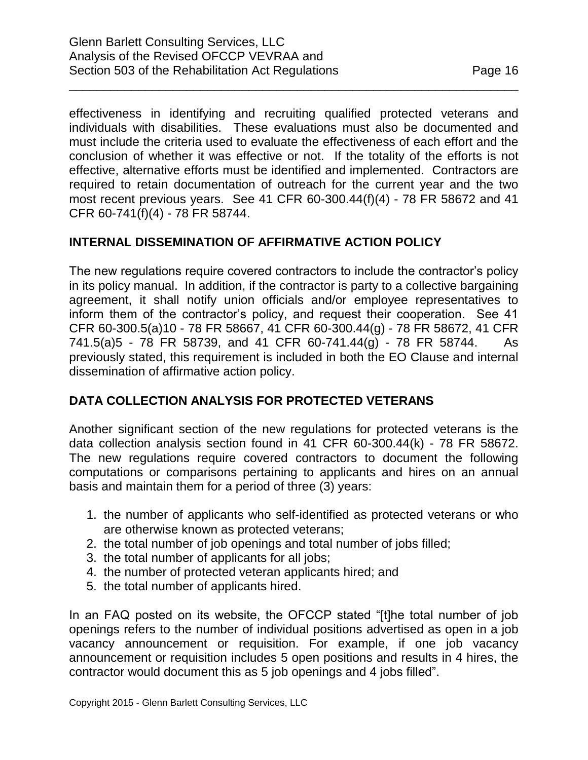effectiveness in identifying and recruiting qualified protected veterans and individuals with disabilities. These evaluations must also be documented and must include the criteria used to evaluate the effectiveness of each effort and the conclusion of whether it was effective or not. If the totality of the efforts is not effective, alternative efforts must be identified and implemented. Contractors are required to retain documentation of outreach for the current year and the two most recent previous years. See 41 CFR 60-300.44(f)(4) - 78 FR 58672 and 41 CFR 60-741(f)(4) - 78 FR 58744.

\_\_\_\_\_\_\_\_\_\_\_\_\_\_\_\_\_\_\_\_\_\_\_\_\_\_\_\_\_\_\_\_\_\_\_\_\_\_\_\_\_\_\_\_\_\_\_\_\_\_\_\_\_\_\_\_\_\_\_\_\_\_\_\_\_

# **INTERNAL DISSEMINATION OF AFFIRMATIVE ACTION POLICY**

The new regulations require covered contractors to include the contractor's policy in its policy manual. In addition, if the contractor is party to a collective bargaining agreement, it shall notify union officials and/or employee representatives to inform them of the contractor's policy, and request their cooperation. See 41 CFR 60-300.5(a)10 - 78 FR 58667, 41 CFR 60-300.44(g) - 78 FR 58672, 41 CFR 741.5(a)5 - 78 FR 58739, and 41 CFR 60-741.44(g) - 78 FR 58744. As previously stated, this requirement is included in both the EO Clause and internal dissemination of affirmative action policy.

# **DATA COLLECTION ANALYSIS FOR PROTECTED VETERANS**

Another significant section of the new regulations for protected veterans is the data collection analysis section found in 41 CFR 60-300.44(k) - 78 FR 58672. The new regulations require covered contractors to document the following computations or comparisons pertaining to applicants and hires on an annual basis and maintain them for a period of three (3) years:

- 1. the number of applicants who self-identified as protected veterans or who are otherwise known as protected veterans;
- 2. the total number of job openings and total number of jobs filled;
- 3. the total number of applicants for all jobs;
- 4. the number of protected veteran applicants hired; and
- 5. the total number of applicants hired.

In an FAQ posted on its website, the OFCCP stated "[t]he total number of job openings refers to the number of individual positions advertised as open in a job vacancy announcement or requisition. For example, if one job vacancy announcement or requisition includes 5 open positions and results in 4 hires, the contractor would document this as 5 job openings and 4 jobs filled".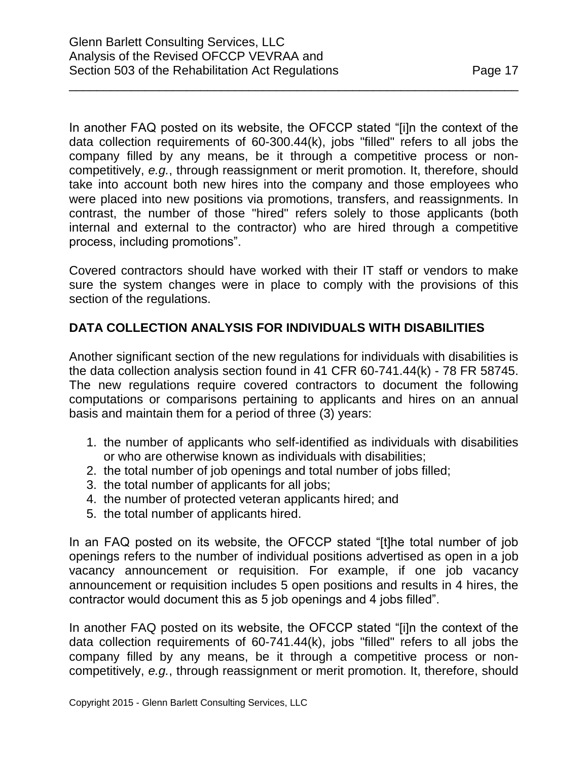In another FAQ posted on its website, the OFCCP stated "[i]n the context of the data collection requirements of 60-300.44(k), jobs "filled" refers to all jobs the company filled by any means, be it through a competitive process or noncompetitively, *e.g.*, through reassignment or merit promotion. It, therefore, should take into account both new hires into the company and those employees who were placed into new positions via promotions, transfers, and reassignments. In contrast, the number of those "hired" refers solely to those applicants (both internal and external to the contractor) who are hired through a competitive process, including promotions".

\_\_\_\_\_\_\_\_\_\_\_\_\_\_\_\_\_\_\_\_\_\_\_\_\_\_\_\_\_\_\_\_\_\_\_\_\_\_\_\_\_\_\_\_\_\_\_\_\_\_\_\_\_\_\_\_\_\_\_\_\_\_\_\_\_

Covered contractors should have worked with their IT staff or vendors to make sure the system changes were in place to comply with the provisions of this section of the regulations.

# **DATA COLLECTION ANALYSIS FOR INDIVIDUALS WITH DISABILITIES**

Another significant section of the new regulations for individuals with disabilities is the data collection analysis section found in 41 CFR 60-741.44(k) - 78 FR 58745. The new regulations require covered contractors to document the following computations or comparisons pertaining to applicants and hires on an annual basis and maintain them for a period of three (3) years:

- 1. the number of applicants who self-identified as individuals with disabilities or who are otherwise known as individuals with disabilities;
- 2. the total number of job openings and total number of jobs filled;
- 3. the total number of applicants for all jobs;
- 4. the number of protected veteran applicants hired; and
- 5. the total number of applicants hired.

In an FAQ posted on its website, the OFCCP stated "[t]he total number of job openings refers to the number of individual positions advertised as open in a job vacancy announcement or requisition. For example, if one job vacancy announcement or requisition includes 5 open positions and results in 4 hires, the contractor would document this as 5 job openings and 4 jobs filled".

In another FAQ posted on its website, the OFCCP stated "[i]n the context of the data collection requirements of 60-741.44(k), jobs "filled" refers to all jobs the company filled by any means, be it through a competitive process or noncompetitively, *e.g.*, through reassignment or merit promotion. It, therefore, should